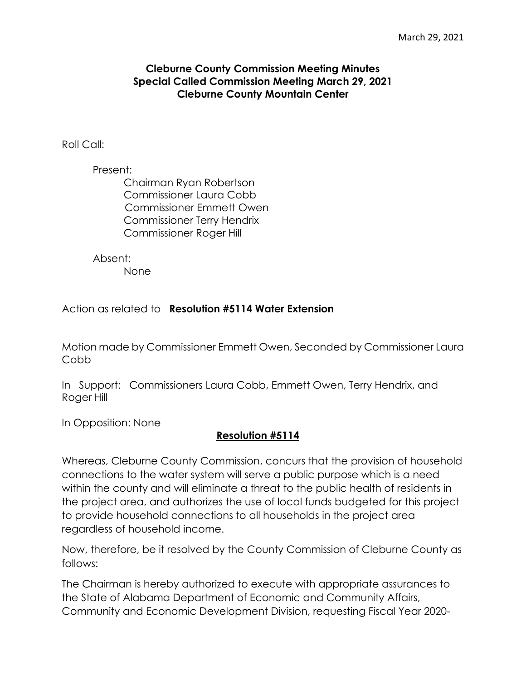## **Cleburne County Commission Meeting Minutes Special Called Commission Meeting March 29, 2021 Cleburne County Mountain Center**

Roll Call:

Present: Chairman Ryan Robertson Commissioner Laura Cobb Commissioner Emmett Owen Commissioner Terry Hendrix Commissioner Roger Hill

Absent:

None

Action as related to **Resolution #5114 Water Extension**

Motion made by Commissioner Emmett Owen, Seconded by Commissioner Laura Cobb

In Support: Commissioners Laura Cobb, Emmett Owen, Terry Hendrix, and Roger Hill

In Opposition: None

## **Resolution #5114**

Whereas, Cleburne County Commission, concurs that the provision of household connections to the water system will serve a public purpose which is a need within the county and will eliminate a threat to the public health of residents in the project area, and authorizes the use of local funds budgeted for this project to provide household connections to all households in the project area regardless of household income.

Now, therefore, be it resolved by the County Commission of Cleburne County as follows:

The Chairman is hereby authorized to execute with appropriate assurances to the State of Alabama Department of Economic and Community Affairs, Community and Economic Development Division, requesting Fiscal Year 2020